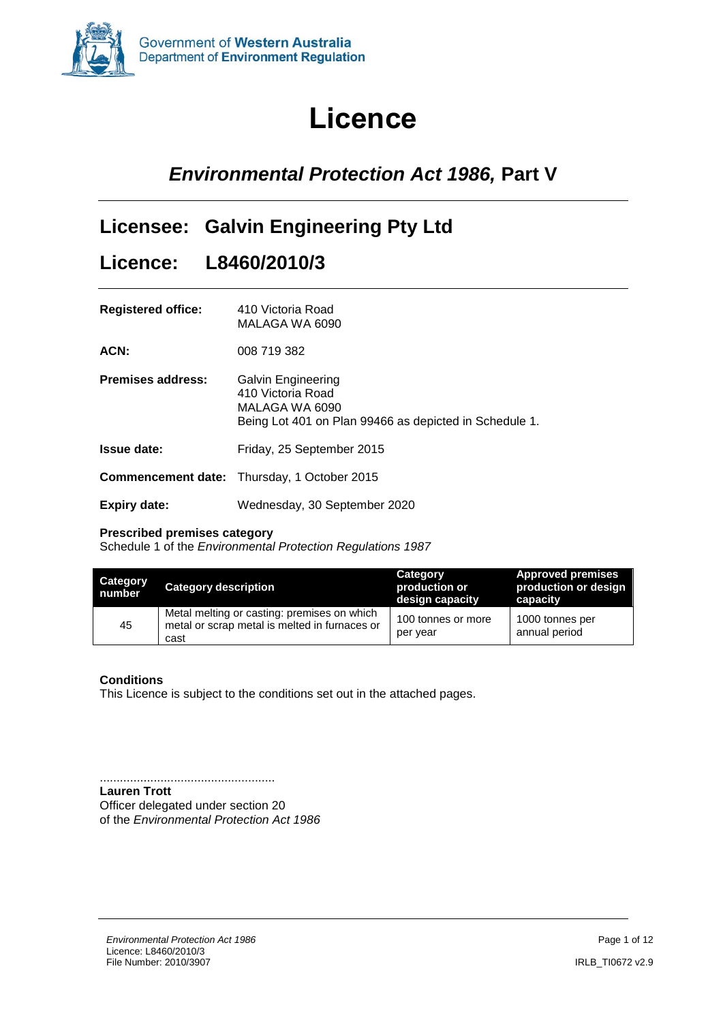<span id="page-0-0"></span>

# **Licence**

# *Environmental Protection Act 1986,* **Part V**

## **Licensee: Galvin Engineering Pty Ltd**

### **Licence: L8460/2010/3**

| <b>Registered office:</b> | 410 Victoria Road<br>MALAGA WA 6090                                                                                 |
|---------------------------|---------------------------------------------------------------------------------------------------------------------|
| ACN:                      | 008 719 382                                                                                                         |
| <b>Premises address:</b>  | Galvin Engineering<br>410 Victoria Road<br>MALAGA WA 6090<br>Being Lot 401 on Plan 99466 as depicted in Schedule 1. |
| <b>Issue date:</b>        | Friday, 25 September 2015                                                                                           |
|                           | <b>Commencement date:</b> Thursday, 1 October 2015                                                                  |
| <b>Expiry date:</b>       | Wednesday, 30 September 2020                                                                                        |

### **Prescribed premises category**

Schedule 1 of the *Environmental Protection Regulations 1987*

| Category<br>number | <b>Category description</b>                                                                          | <b>Category</b><br>production or<br>design capacity | <b>Approved premises</b><br>production or design<br>capacity |
|--------------------|------------------------------------------------------------------------------------------------------|-----------------------------------------------------|--------------------------------------------------------------|
| 45                 | Metal melting or casting: premises on which<br>metal or scrap metal is melted in furnaces or<br>cast | 100 tonnes or more<br>per year                      | 1000 tonnes per<br>annual period                             |

### **Conditions**

This Licence is subject to the conditions set out in the attached pages.

.................................................... **Lauren Trott**

Officer delegated under section 20 of the *Environmental Protection Act 1986*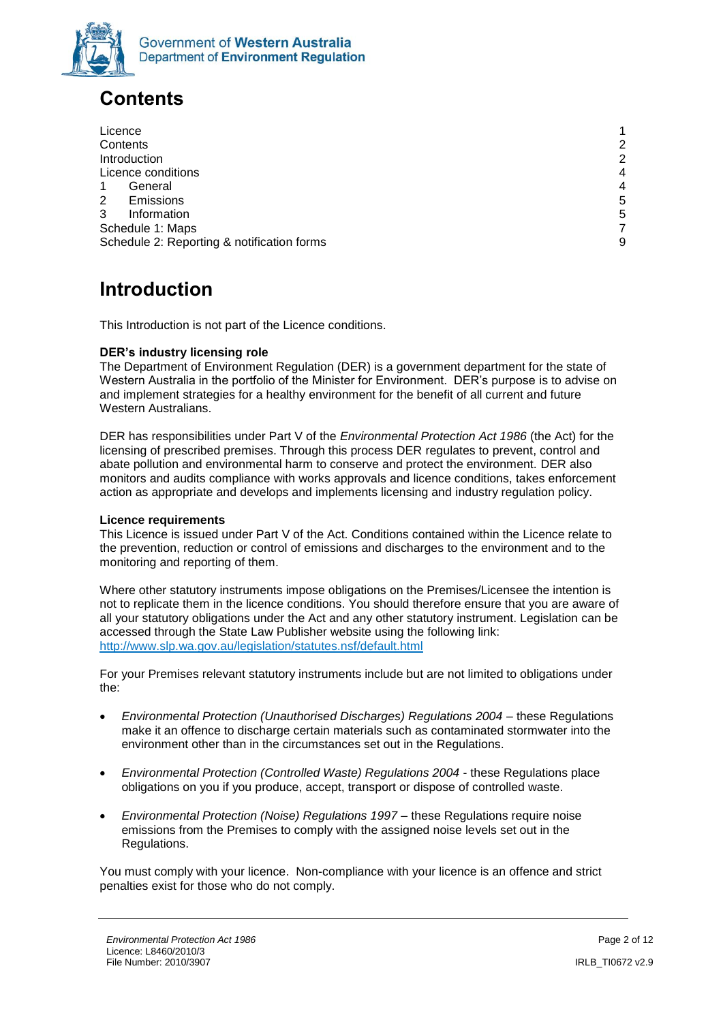

# <span id="page-1-0"></span>**Contents**

| Licence                                    |   |
|--------------------------------------------|---|
| Contents                                   | 2 |
| Introduction                               | 2 |
| Licence conditions                         | 4 |
| General<br>-1                              | 4 |
| 2<br>Emissions                             | 5 |
| 3<br>Information                           | 5 |
| Schedule 1: Maps                           | 7 |
| Schedule 2: Reporting & notification forms | 9 |

# <span id="page-1-1"></span>**Introduction**

This Introduction is not part of the Licence conditions.

### **DER's industry licensing role**

The Department of Environment Regulation (DER) is a government department for the state of Western Australia in the portfolio of the Minister for Environment. DER's purpose is to advise on and implement strategies for a healthy environment for the benefit of all current and future Western Australians.

DER has responsibilities under Part V of the *Environmental Protection Act 1986* (the Act) for the licensing of prescribed premises. Through this process DER regulates to prevent, control and abate pollution and environmental harm to conserve and protect the environment. DER also monitors and audits compliance with works approvals and licence conditions, takes enforcement action as appropriate and develops and implements licensing and industry regulation policy.

### **Licence requirements**

This Licence is issued under Part V of the Act. Conditions contained within the Licence relate to the prevention, reduction or control of emissions and discharges to the environment and to the monitoring and reporting of them.

Where other statutory instruments impose obligations on the Premises/Licensee the intention is not to replicate them in the licence conditions. You should therefore ensure that you are aware of all your statutory obligations under the Act and any other statutory instrument. Legislation can be accessed through the State Law Publisher website using the following link: <http://www.slp.wa.gov.au/legislation/statutes.nsf/default.html>

For your Premises relevant statutory instruments include but are not limited to obligations under the:

- *Environmental Protection (Unauthorised Discharges) Regulations 2004* these Regulations make it an offence to discharge certain materials such as contaminated stormwater into the environment other than in the circumstances set out in the Regulations.
- *Environmental Protection (Controlled Waste) Regulations 2004* these Regulations place obligations on you if you produce, accept, transport or dispose of controlled waste.
- *Environmental Protection (Noise) Regulations 1997 these Regulations require noise* emissions from the Premises to comply with the assigned noise levels set out in the Regulations.

You must comply with your licence. Non-compliance with your licence is an offence and strict penalties exist for those who do not comply.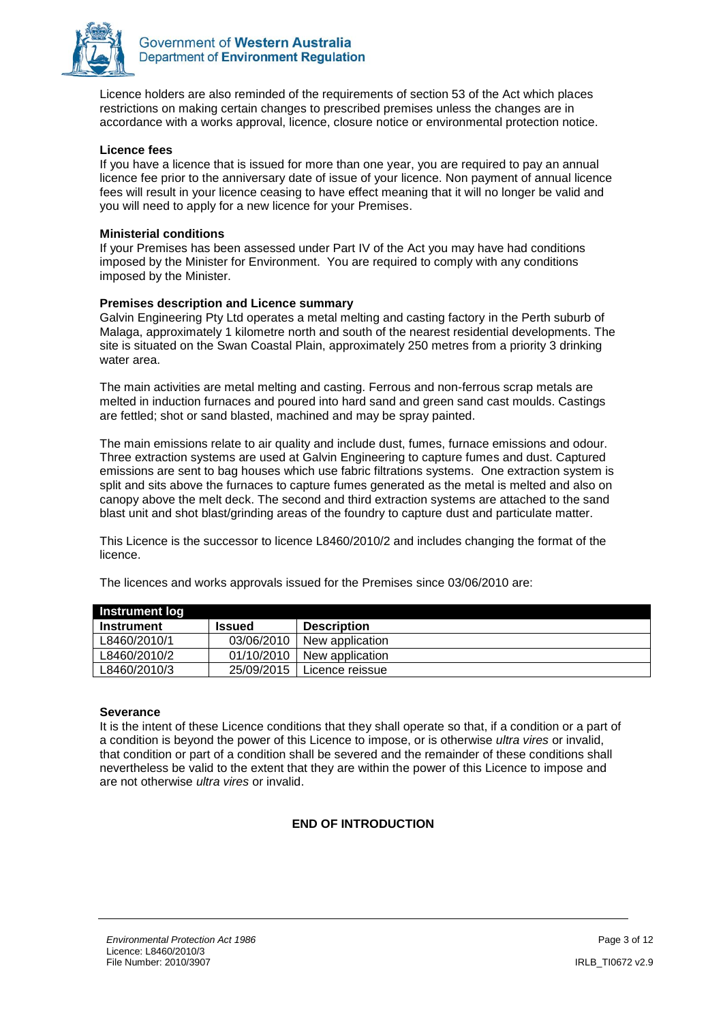

Licence holders are also reminded of the requirements of section 53 of the Act which places restrictions on making certain changes to prescribed premises unless the changes are in accordance with a works approval, licence, closure notice or environmental protection notice.

#### **Licence fees**

If you have a licence that is issued for more than one year, you are required to pay an annual licence fee prior to the anniversary date of issue of your licence. Non payment of annual licence fees will result in your licence ceasing to have effect meaning that it will no longer be valid and you will need to apply for a new licence for your Premises.

#### **Ministerial conditions**

If your Premises has been assessed under Part IV of the Act you may have had conditions imposed by the Minister for Environment. You are required to comply with any conditions imposed by the Minister.

#### **Premises description and Licence summary**

Galvin Engineering Pty Ltd operates a metal melting and casting factory in the Perth suburb of Malaga, approximately 1 kilometre north and south of the nearest residential developments. The site is situated on the Swan Coastal Plain, approximately 250 metres from a priority 3 drinking water area.

The main activities are metal melting and casting. Ferrous and non-ferrous scrap metals are melted in induction furnaces and poured into hard sand and green sand cast moulds. Castings are fettled; shot or sand blasted, machined and may be spray painted.

The main emissions relate to air quality and include dust, fumes, furnace emissions and odour. Three extraction systems are used at Galvin Engineering to capture fumes and dust. Captured emissions are sent to bag houses which use fabric filtrations systems. One extraction system is split and sits above the furnaces to capture fumes generated as the metal is melted and also on canopy above the melt deck. The second and third extraction systems are attached to the sand blast unit and shot blast/grinding areas of the foundry to capture dust and particulate matter.

This Licence is the successor to licence L8460/2010/2 and includes changing the format of the licence.

| Instrument log |               |                    |
|----------------|---------------|--------------------|
| Instrument     | <b>Issued</b> | <b>Description</b> |
| L8460/2010/1   | 03/06/2010    | New application    |
| L8460/2010/2   | 01/10/2010    | New application    |
| L8460/2010/3   | 25/09/2015    | Licence reissue    |

The licences and works approvals issued for the Premises since 03/06/2010 are:

#### **Severance**

It is the intent of these Licence conditions that they shall operate so that, if a condition or a part of a condition is beyond the power of this Licence to impose, or is otherwise *ultra vires* or invalid, that condition or part of a condition shall be severed and the remainder of these conditions shall nevertheless be valid to the extent that they are within the power of this Licence to impose and are not otherwise *ultra vires* or invalid.

### **END OF INTRODUCTION**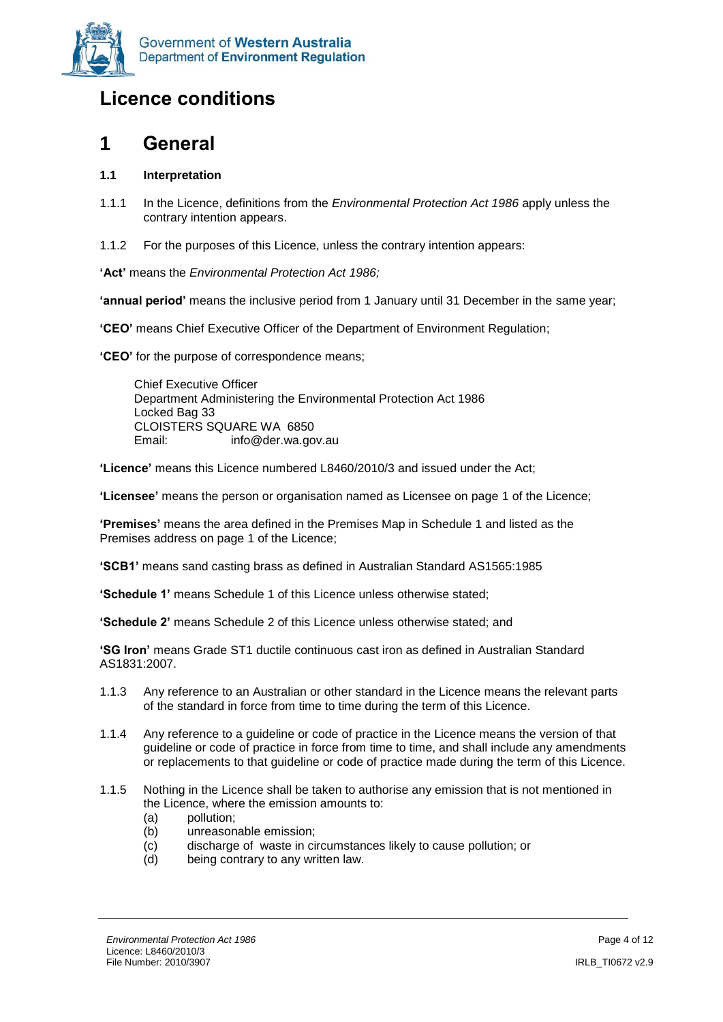

## <span id="page-3-0"></span>**Licence conditions**

### <span id="page-3-1"></span>**1 General**

### **1.1 Interpretation**

- 1.1.1 In the Licence, definitions from the *Environmental Protection Act 1986* apply unless the contrary intention appears.
- 1.1.2 For the purposes of this Licence, unless the contrary intention appears:

**'Act'** means the *Environmental Protection Act 1986;*

**'annual period'** means the inclusive period from 1 January until 31 December in the same year;

**'CEO'** means Chief Executive Officer of the Department of Environment Regulation;

**'CEO'** for the purpose of correspondence means;

Chief Executive Officer Department Administering the Environmental Protection Act 1986 Locked Bag 33 CLOISTERS SQUARE WA 6850 Email: [info@der.wa.gov.au](mailto:info@der.wa.gov.au)

**'Licence'** means this Licence numbered L8460/2010/3 and issued under the Act;

**'Licensee'** means the person or organisation named as Licensee on page 1 of the Licence;

**'Premises'** means the area defined in the Premises Map in Schedule 1 and listed as the Premises address on page 1 of the Licence;

**'SCB1'** means sand casting brass as defined in Australian Standard AS1565:1985

**'Schedule 1'** means Schedule 1 of this Licence unless otherwise stated;

**'Schedule 2'** means Schedule 2 of this Licence unless otherwise stated; and

**'SG Iron'** means Grade ST1 ductile continuous cast iron as defined in Australian Standard AS1831:2007.

- 1.1.3 Any reference to an Australian or other standard in the Licence means the relevant parts of the standard in force from time to time during the term of this Licence.
- 1.1.4 Any reference to a guideline or code of practice in the Licence means the version of that guideline or code of practice in force from time to time, and shall include any amendments or replacements to that guideline or code of practice made during the term of this Licence.
- 1.1.5 Nothing in the Licence shall be taken to authorise any emission that is not mentioned in the Licence, where the emission amounts to:
	- (a) pollution;
	- (b) unreasonable emission;
	- (c) discharge of waste in circumstances likely to cause pollution; or
	- (d) being contrary to any written law.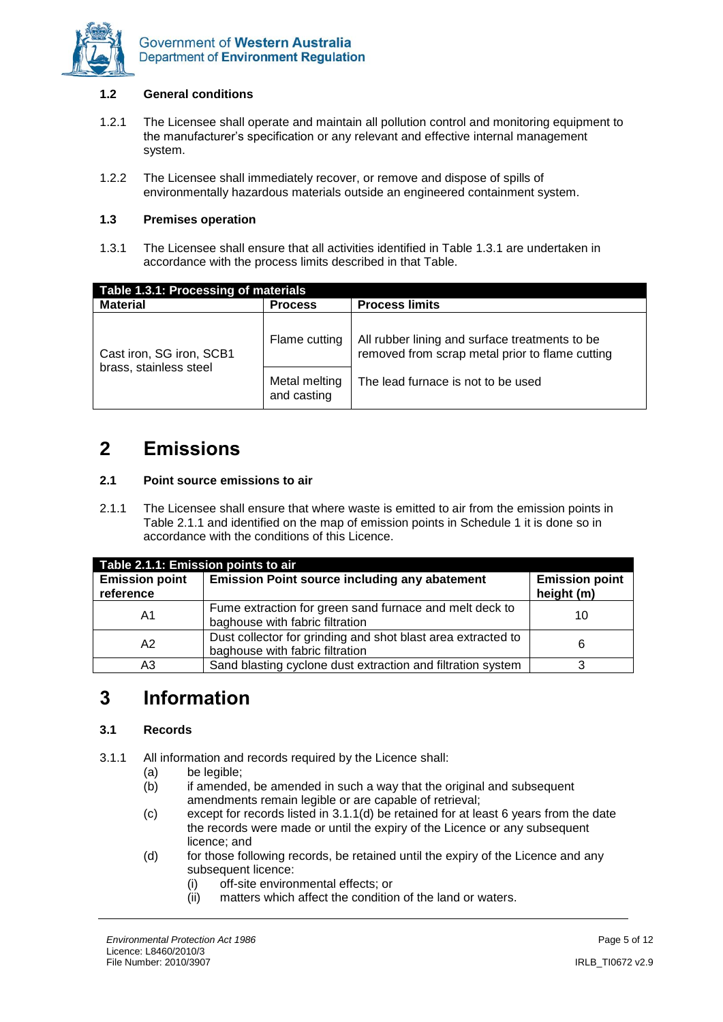

### **1.2 General conditions**

- 1.2.1 The Licensee shall operate and maintain all pollution control and monitoring equipment to the manufacturer's specification or any relevant and effective internal management system.
- 1.2.2 The Licensee shall immediately recover, or remove and dispose of spills of environmentally hazardous materials outside an engineered containment system.

#### **1.3 Premises operation**

1.3.1 The Licensee shall ensure that all activities identified in Table 1.3.1 are undertaken in accordance with the process limits described in that Table.

| Table 1.3.1: Processing of materials               |                              |                                                                                                   |
|----------------------------------------------------|------------------------------|---------------------------------------------------------------------------------------------------|
| <b>Material</b>                                    | <b>Process</b>               | <b>Process limits</b>                                                                             |
| Cast iron, SG iron, SCB1<br>brass, stainless steel | Flame cutting                | All rubber lining and surface treatments to be<br>removed from scrap metal prior to flame cutting |
|                                                    | Metal melting<br>and casting | The lead furnace is not to be used                                                                |

### <span id="page-4-0"></span>**2 Emissions**

### **2.1 Point source emissions to air**

2.1.1 The Licensee shall ensure that where waste is emitted to air from the emission points in Table 2.1.1 and identified on the map of emission points in Schedule 1 it is done so in accordance with the conditions of this Licence.

| Table 2.1.1: Emission points to air |                                                                                                 |                                     |
|-------------------------------------|-------------------------------------------------------------------------------------------------|-------------------------------------|
| <b>Emission point</b><br>reference  | <b>Emission Point source including any abatement</b>                                            | <b>Emission point</b><br>height (m) |
| A1                                  | Fume extraction for green sand furnace and melt deck to<br>baghouse with fabric filtration      | 10                                  |
| A2                                  | Dust collector for grinding and shot blast area extracted to<br>baghouse with fabric filtration | 6                                   |
| A3                                  | Sand blasting cyclone dust extraction and filtration system                                     |                                     |

### <span id="page-4-1"></span>**3 Information**

### **3.1 Records**

- 3.1.1 All information and records required by the Licence shall:
	- (a) be legible;
	- (b) if amended, be amended in such a way that the original and subsequent amendments remain legible or are capable of retrieval;
	- (c) except for records listed in 3.1.1(d) be retained for at least 6 years from the date the records were made or until the expiry of the Licence or any subsequent licence; and
	- (d) for those following records, be retained until the expiry of the Licence and any subsequent licence:
		- (i) off-site environmental effects; or
		- (ii) matters which affect the condition of the land or waters.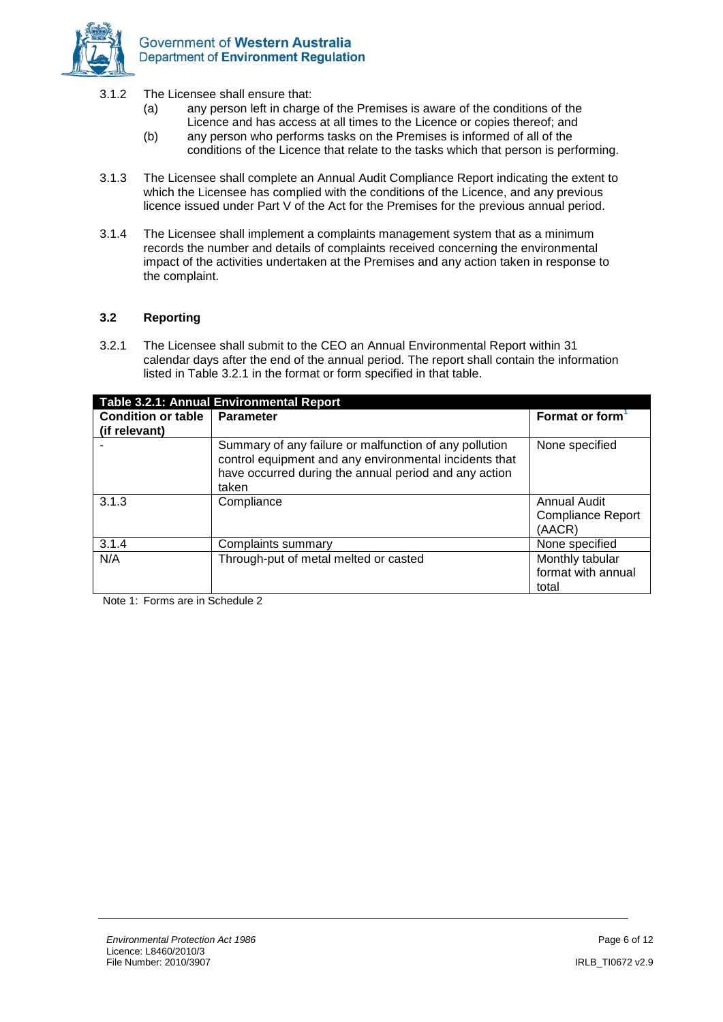

- 3.1.2 The Licensee shall ensure that:
	- (a) any person left in charge of the Premises is aware of the conditions of the Licence and has access at all times to the Licence or copies thereof; and
	- (b) any person who performs tasks on the Premises is informed of all of the conditions of the Licence that relate to the tasks which that person is performing.
- 3.1.3 The Licensee shall complete an Annual Audit Compliance Report indicating the extent to which the Licensee has complied with the conditions of the Licence, and any previous licence issued under Part V of the Act for the Premises for the previous annual period.
- 3.1.4 The Licensee shall implement a complaints management system that as a minimum records the number and details of complaints received concerning the environmental impact of the activities undertaken at the Premises and any action taken in response to the complaint.

### **3.2 Reporting**

3.2.1 The Licensee shall submit to the CEO an Annual Environmental Report within 31 calendar days after the end of the annual period. The report shall contain the information listed in Table 3.2.1 in the format or form specified in that table.

| Table 3.2.1: Annual Environmental Report   |                                                                                                                                                                                    |                                                    |
|--------------------------------------------|------------------------------------------------------------------------------------------------------------------------------------------------------------------------------------|----------------------------------------------------|
| <b>Condition or table</b><br>(if relevant) | Parameter                                                                                                                                                                          | Format or form                                     |
|                                            | Summary of any failure or malfunction of any pollution<br>control equipment and any environmental incidents that<br>have occurred during the annual period and any action<br>taken | None specified                                     |
| 3.1.3                                      | Compliance                                                                                                                                                                         | Annual Audit<br><b>Compliance Report</b><br>(AACR) |
| 3.1.4                                      | Complaints summary                                                                                                                                                                 | None specified                                     |
| N/A                                        | Through-put of metal melted or casted                                                                                                                                              | Monthly tabular<br>format with annual<br>total     |

Note 1: Forms are in Schedule 2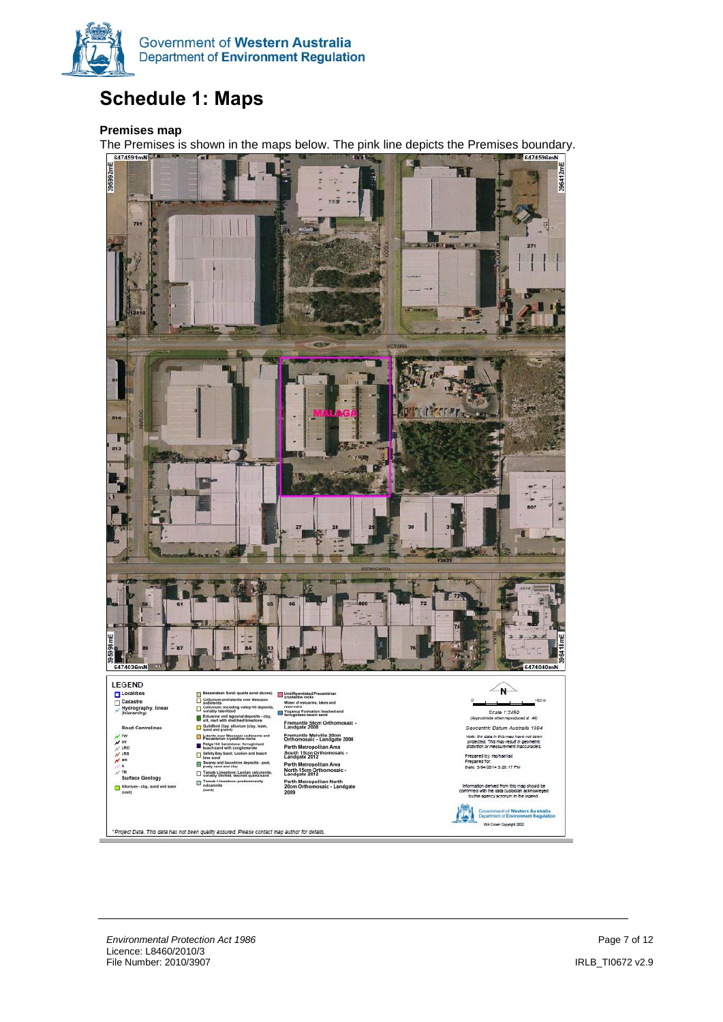

# <span id="page-6-0"></span>**Schedule 1: Maps**

### **Premises map**

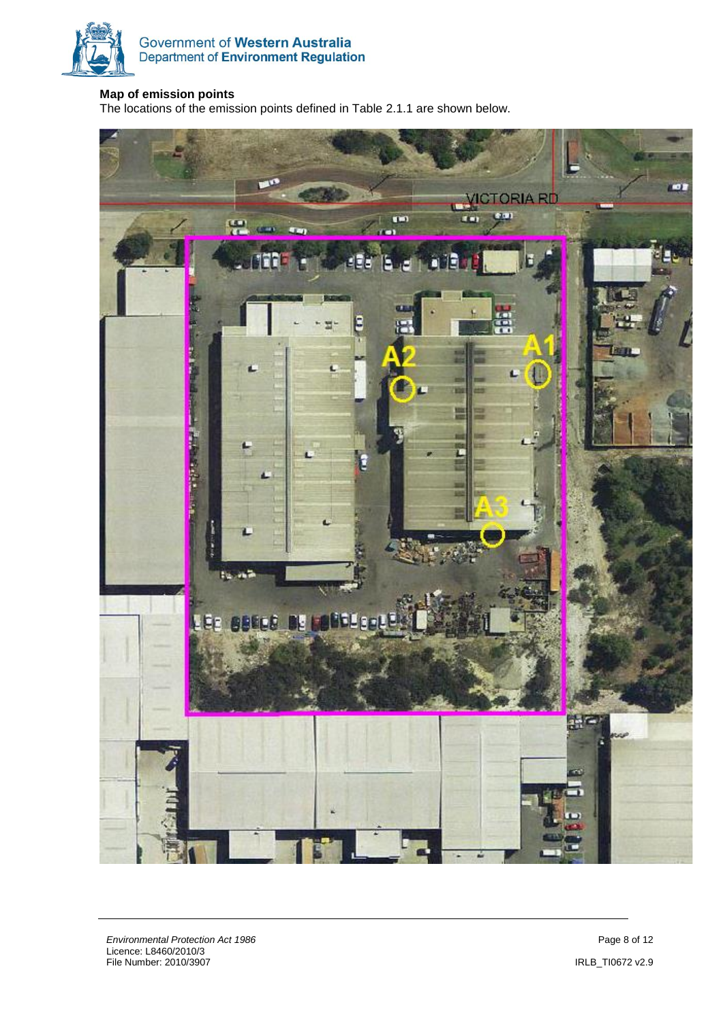

### **Map of emission points**

The locations of the emission points defined in Table 2.1.1 are shown below.

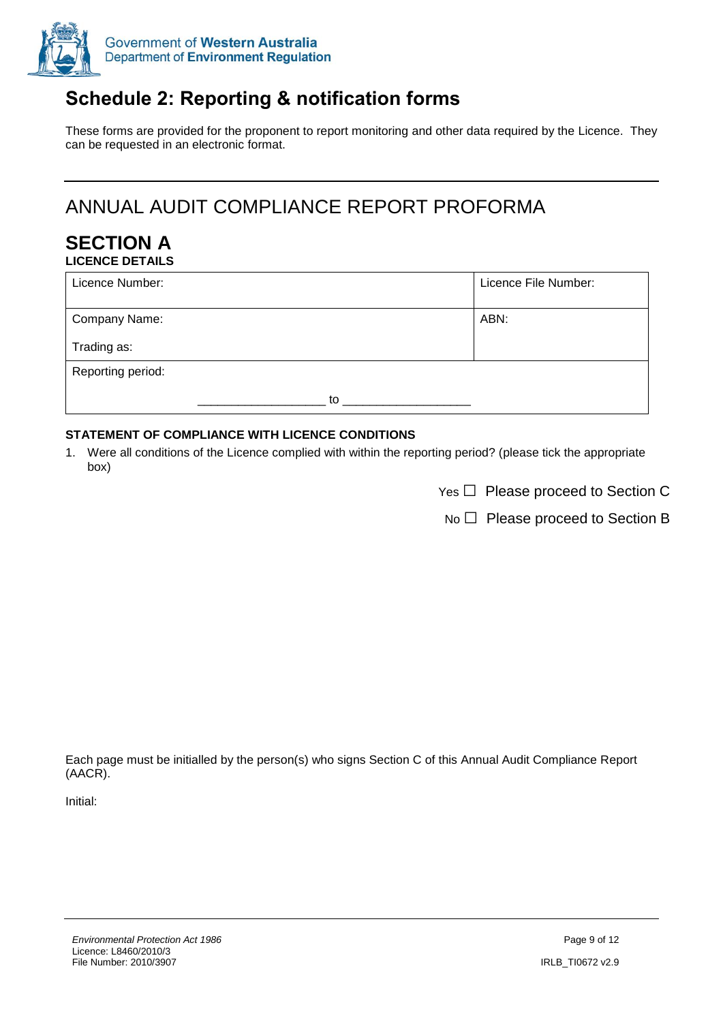

# <span id="page-8-0"></span>**Schedule 2: Reporting & notification forms**

These forms are provided for the proponent to report monitoring and other data required by the Licence. They can be requested in an electronic format.

# ANNUAL AUDIT COMPLIANCE REPORT PROFORMA

### **SECTION A LICENCE DETAILS**

| Licence Number:   |    | Licence File Number: |
|-------------------|----|----------------------|
| Company Name:     |    | ABN:                 |
| Trading as:       |    |                      |
| Reporting period: |    |                      |
|                   | to |                      |

### **STATEMENT OF COMPLIANCE WITH LICENCE CONDITIONS**

- 1. Were all conditions of the Licence complied with within the reporting period? (please tick the appropriate box)
	- $Yes \Box$  Please proceed to Section C

 $No \Box$  Please proceed to Section B

Each page must be initialled by the person(s) who signs Section C of this Annual Audit Compliance Report (AACR).

Initial: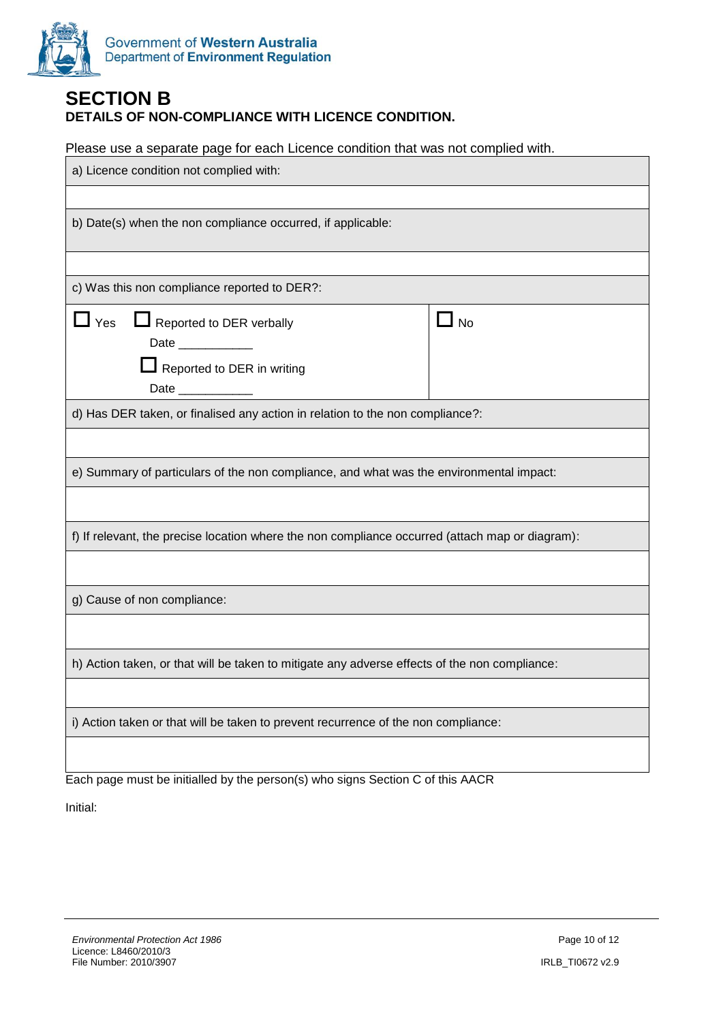

### **SECTION B DETAILS OF NON-COMPLIANCE WITH LICENCE CONDITION.**

Please use a separate page for each Licence condition that was not complied with.

| a) Licence condition not complied with:                                                                                    |                             |  |
|----------------------------------------------------------------------------------------------------------------------------|-----------------------------|--|
|                                                                                                                            |                             |  |
| b) Date(s) when the non compliance occurred, if applicable:                                                                |                             |  |
|                                                                                                                            |                             |  |
| c) Was this non compliance reported to DER?:                                                                               |                             |  |
| $\mathsf{\mathsf{\underline{J}}}$ Yes<br>Reported to DER verbally<br>Date ___________<br>$\Box$ Reported to DER in writing | $\mathsf{\underline{I}}$ No |  |
| d) Has DER taken, or finalised any action in relation to the non compliance?:                                              |                             |  |
|                                                                                                                            |                             |  |
| e) Summary of particulars of the non compliance, and what was the environmental impact:                                    |                             |  |
|                                                                                                                            |                             |  |
| f) If relevant, the precise location where the non compliance occurred (attach map or diagram):                            |                             |  |
|                                                                                                                            |                             |  |
| g) Cause of non compliance:                                                                                                |                             |  |
|                                                                                                                            |                             |  |
| h) Action taken, or that will be taken to mitigate any adverse effects of the non compliance:                              |                             |  |
|                                                                                                                            |                             |  |
| i) Action taken or that will be taken to prevent recurrence of the non compliance:                                         |                             |  |
|                                                                                                                            |                             |  |

Each page must be initialled by the person(s) who signs Section C of this AACR

Initial: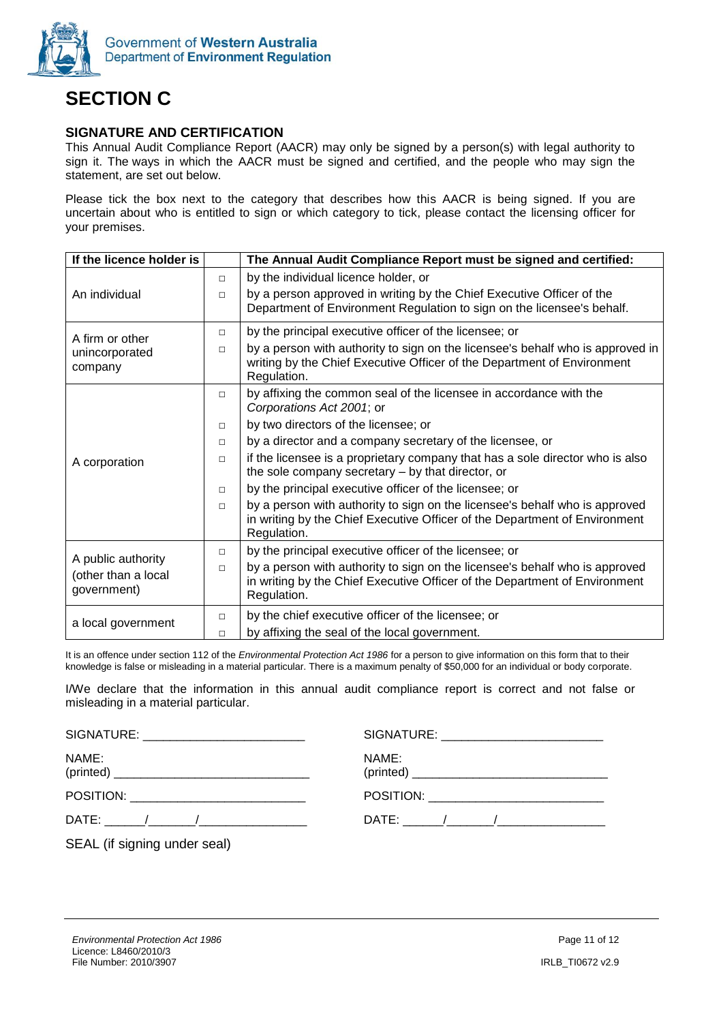

# **SECTION C**

### **SIGNATURE AND CERTIFICATION**

This Annual Audit Compliance Report (AACR) may only be signed by a person(s) with legal authority to sign it. The ways in which the AACR must be signed and certified, and the people who may sign the statement, are set out below.

Please tick the box next to the category that describes how this AACR is being signed. If you are uncertain about who is entitled to sign or which category to tick, please contact the licensing officer for your premises.

| If the licence holder is                                 |        | The Annual Audit Compliance Report must be signed and certified:                                                                                                         |
|----------------------------------------------------------|--------|--------------------------------------------------------------------------------------------------------------------------------------------------------------------------|
| An individual                                            | $\Box$ | by the individual licence holder, or                                                                                                                                     |
|                                                          | $\Box$ | by a person approved in writing by the Chief Executive Officer of the<br>Department of Environment Regulation to sign on the licensee's behalf.                          |
| A firm or other                                          | $\Box$ | by the principal executive officer of the licensee; or                                                                                                                   |
| unincorporated<br>company                                | $\Box$ | by a person with authority to sign on the licensee's behalf who is approved in<br>writing by the Chief Executive Officer of the Department of Environment<br>Regulation. |
|                                                          | $\Box$ | by affixing the common seal of the licensee in accordance with the<br>Corporations Act 2001; or                                                                          |
|                                                          | $\Box$ | by two directors of the licensee; or                                                                                                                                     |
|                                                          | $\Box$ | by a director and a company secretary of the licensee, or                                                                                                                |
| A corporation                                            | $\Box$ | if the licensee is a proprietary company that has a sole director who is also<br>the sole company secretary – by that director, or                                       |
|                                                          | $\Box$ | by the principal executive officer of the licensee; or                                                                                                                   |
|                                                          | $\Box$ | by a person with authority to sign on the licensee's behalf who is approved<br>in writing by the Chief Executive Officer of the Department of Environment<br>Regulation. |
|                                                          | $\Box$ | by the principal executive officer of the licensee; or                                                                                                                   |
| A public authority<br>(other than a local<br>government) | $\Box$ | by a person with authority to sign on the licensee's behalf who is approved<br>in writing by the Chief Executive Officer of the Department of Environment<br>Regulation. |
| a local government                                       | $\Box$ | by the chief executive officer of the licensee; or                                                                                                                       |
|                                                          | $\Box$ | by affixing the seal of the local government.                                                                                                                            |

It is an offence under section 112 of the *Environmental Protection Act 1986* for a person to give information on this form that to their knowledge is false or misleading in a material particular. There is a maximum penalty of \$50,000 for an individual or body corporate.

I/We declare that the information in this annual audit compliance report is correct and not false or misleading in a material particular.

| SIGNATURE: ___________________________ | SIGNATURE: ______________________________ |
|----------------------------------------|-------------------------------------------|
| NAME:                                  | NAME:                                     |
|                                        |                                           |
|                                        |                                           |
| SEAL (if signing under seal)           |                                           |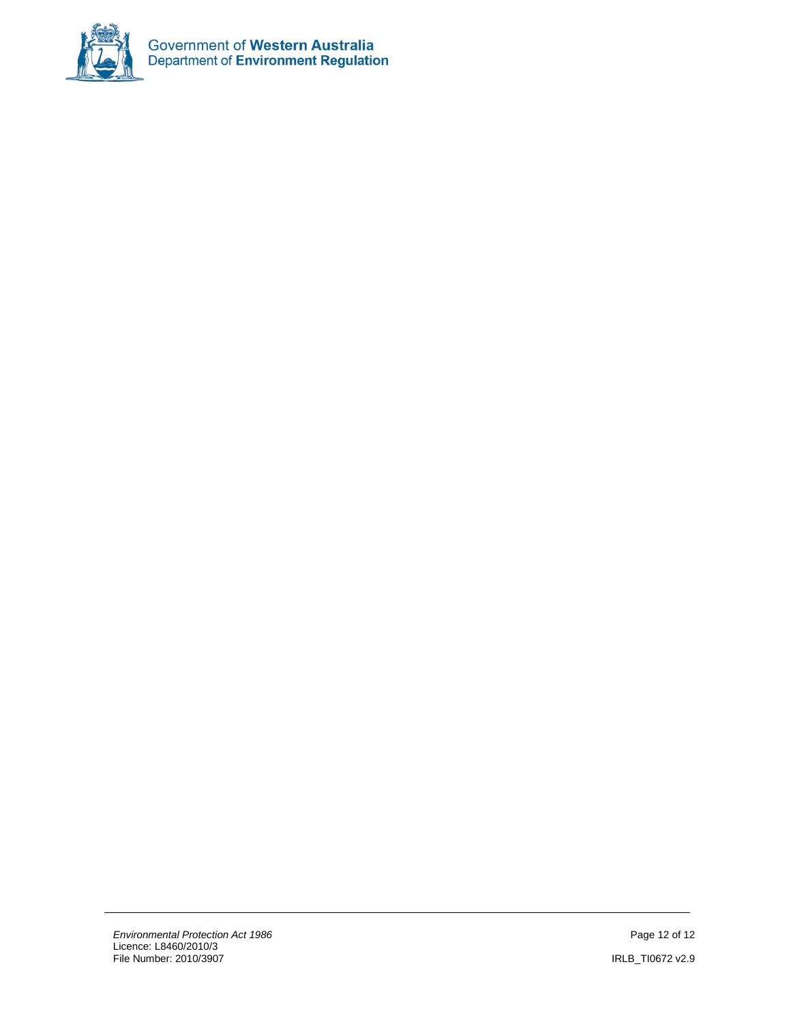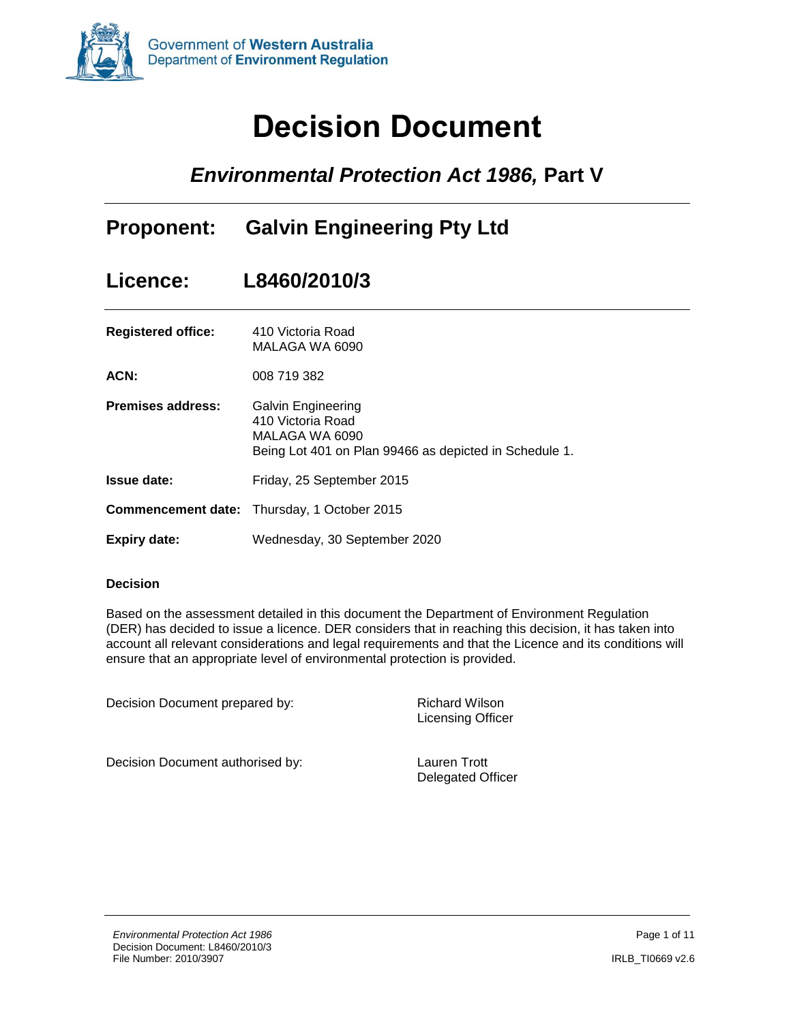<span id="page-12-0"></span>

# **Decision Document**

# *Environmental Protection Act 1986,* **Part V**

|                           | <b>Proponent:</b> Galvin Engineering Pty Ltd                                                                               |  |
|---------------------------|----------------------------------------------------------------------------------------------------------------------------|--|
| Licence:                  | L8460/2010/3                                                                                                               |  |
| <b>Registered office:</b> | 410 Victoria Road<br>MALAGA WA 6090                                                                                        |  |
| ACN:                      | 008 719 382                                                                                                                |  |
| <b>Premises address:</b>  | <b>Galvin Engineering</b><br>410 Victoria Road<br>MALAGA WA 6090<br>Being Lot 401 on Plan 99466 as depicted in Schedule 1. |  |
| <b>Issue date:</b>        | Friday, 25 September 2015                                                                                                  |  |
|                           | <b>Commencement date:</b> Thursday, 1 October 2015                                                                         |  |
| <b>Expiry date:</b>       | Wednesday, 30 September 2020                                                                                               |  |

### **Decision**

Based on the assessment detailed in this document the Department of Environment Regulation (DER) has decided to issue a licence. DER considers that in reaching this decision, it has taken into account all relevant considerations and legal requirements and that the Licence and its conditions will ensure that an appropriate level of environmental protection is provided.

Decision Document prepared by: Richard Wilson

Licensing Officer

Decision Document authorised by: Lauren Trott

Delegated Officer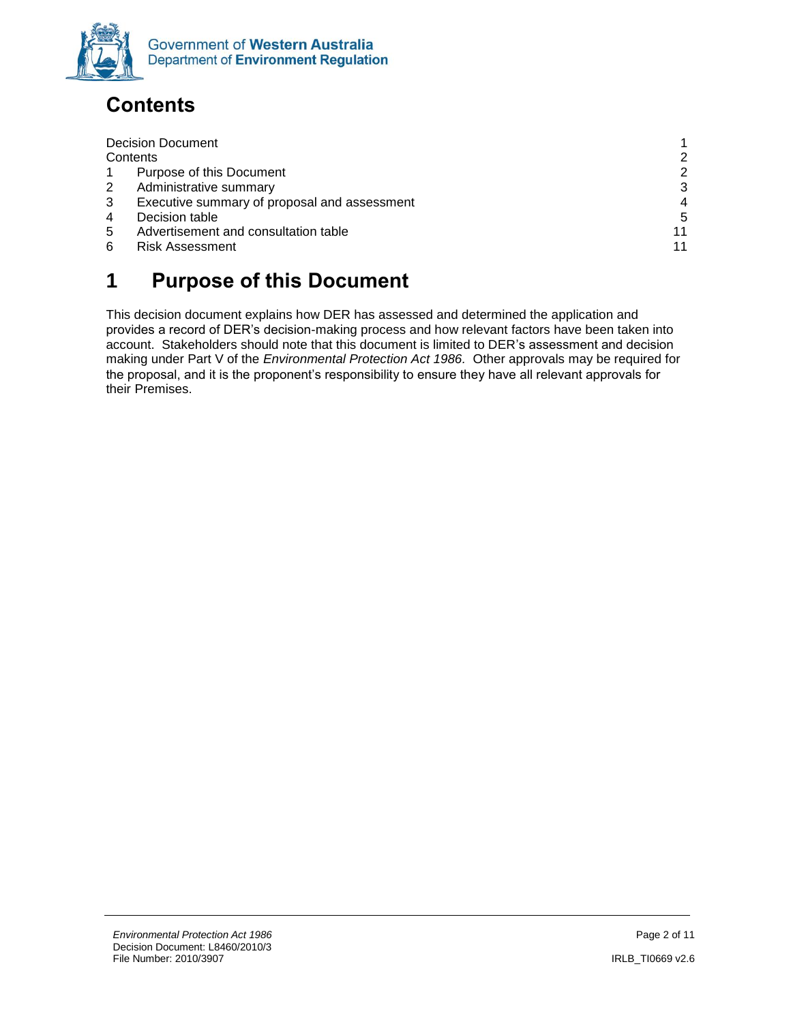

# <span id="page-13-0"></span>**Contents**

|   | <b>Decision Document</b>                     |    |
|---|----------------------------------------------|----|
|   | Contents                                     | 2  |
|   | Purpose of this Document                     | 2  |
| 2 | Administrative summary                       | 3  |
| 3 | Executive summary of proposal and assessment | 4  |
| 4 | Decision table                               | 5  |
| 5 | Advertisement and consultation table         | 11 |
| 6 | <b>Risk Assessment</b>                       | 11 |
|   |                                              |    |

# <span id="page-13-1"></span>**1 Purpose of this Document**

This decision document explains how DER has assessed and determined the application and provides a record of DER's decision-making process and how relevant factors have been taken into account. Stakeholders should note that this document is limited to DER's assessment and decision making under Part V of the *Environmental Protection Act 1986.* Other approvals may be required for the proposal, and it is the proponent's responsibility to ensure they have all relevant approvals for their Premises.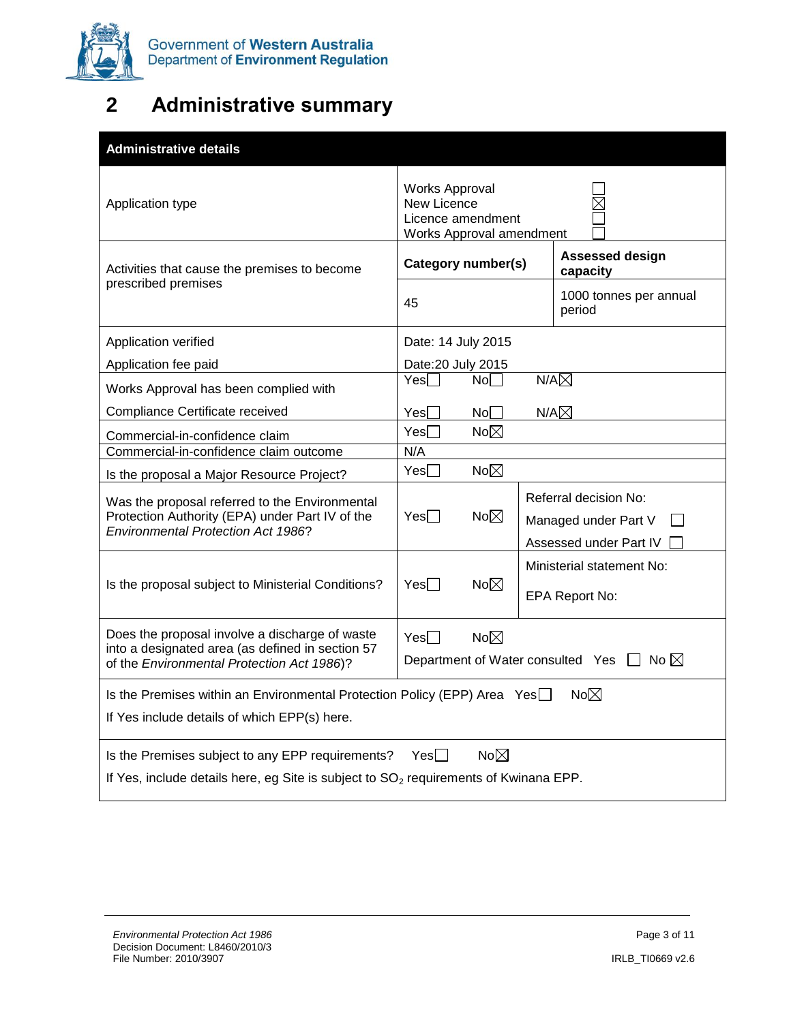

# <span id="page-14-0"></span>**2 Administrative summary**

| <b>Administrative details</b>                                                                                                                                                                                                                           |                                                                                       |                                    |  |  |  |  |
|---------------------------------------------------------------------------------------------------------------------------------------------------------------------------------------------------------------------------------------------------------|---------------------------------------------------------------------------------------|------------------------------------|--|--|--|--|
| Application type                                                                                                                                                                                                                                        | Works Approval<br><b>New Licence</b><br>Licence amendment<br>Works Approval amendment |                                    |  |  |  |  |
| Activities that cause the premises to become                                                                                                                                                                                                            | Category number(s)                                                                    | <b>Assessed design</b><br>capacity |  |  |  |  |
| prescribed premises                                                                                                                                                                                                                                     | 45                                                                                    | 1000 tonnes per annual<br>period   |  |  |  |  |
| Application verified                                                                                                                                                                                                                                    | Date: 14 July 2015                                                                    |                                    |  |  |  |  |
| Application fee paid                                                                                                                                                                                                                                    | Date: 20 July 2015                                                                    |                                    |  |  |  |  |
| Works Approval has been complied with                                                                                                                                                                                                                   | No <sub>1</sub><br>Yesl l                                                             | $N/A\boxtimes$                     |  |  |  |  |
| Compliance Certificate received                                                                                                                                                                                                                         | No <sub>1</sub><br>Yes                                                                | $N/A\boxtimes$                     |  |  |  |  |
| Commercial-in-confidence claim                                                                                                                                                                                                                          | Yes<br>No $\boxtimes$                                                                 |                                    |  |  |  |  |
| Commercial-in-confidence claim outcome                                                                                                                                                                                                                  | N/A                                                                                   |                                    |  |  |  |  |
| No $\boxtimes$<br>$Yes \Box$<br>Is the proposal a Major Resource Project?                                                                                                                                                                               |                                                                                       |                                    |  |  |  |  |
| Referral decision No:<br>Was the proposal referred to the Environmental<br>$No\neg\neg$<br>Protection Authority (EPA) under Part IV of the<br>$Yes \Box$<br>Managed under Part V<br><b>Environmental Protection Act 1986?</b><br>Assessed under Part IV |                                                                                       |                                    |  |  |  |  |
| Ministerial statement No:<br>$No\boxtimes$<br>$Yes \Box$<br>Is the proposal subject to Ministerial Conditions?<br>EPA Report No:                                                                                                                        |                                                                                       |                                    |  |  |  |  |
| Does the proposal involve a discharge of waste<br>$Yes \Box$<br>$No\neg\neg$<br>into a designated area (as defined in section 57<br>Department of Water consulted Yes $\Box$ No $\boxtimes$<br>of the Environmental Protection Act 1986)?               |                                                                                       |                                    |  |  |  |  |
| No $\boxtimes$<br>Is the Premises within an Environmental Protection Policy (EPP) Area $Yes \Box$<br>If Yes include details of which EPP(s) here.                                                                                                       |                                                                                       |                                    |  |  |  |  |
| $No\boxtimes$<br>Is the Premises subject to any EPP requirements? Yes $\Box$<br>If Yes, include details here, eg Site is subject to SO <sub>2</sub> requirements of Kwinana EPP.                                                                        |                                                                                       |                                    |  |  |  |  |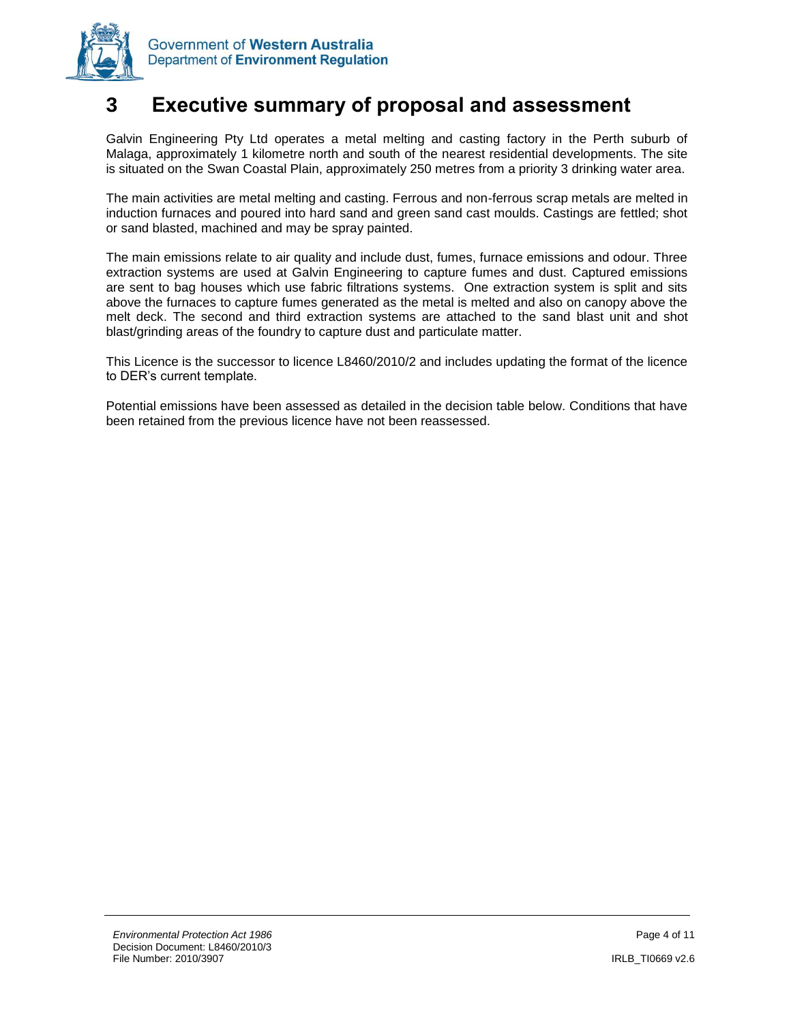

### <span id="page-15-0"></span>**3 Executive summary of proposal and assessment**

Galvin Engineering Pty Ltd operates a metal melting and casting factory in the Perth suburb of Malaga, approximately 1 kilometre north and south of the nearest residential developments. The site is situated on the Swan Coastal Plain, approximately 250 metres from a priority 3 drinking water area.

The main activities are metal melting and casting. Ferrous and non-ferrous scrap metals are melted in induction furnaces and poured into hard sand and green sand cast moulds. Castings are fettled; shot or sand blasted, machined and may be spray painted.

The main emissions relate to air quality and include dust, fumes, furnace emissions and odour. Three extraction systems are used at Galvin Engineering to capture fumes and dust. Captured emissions are sent to bag houses which use fabric filtrations systems. One extraction system is split and sits above the furnaces to capture fumes generated as the metal is melted and also on canopy above the melt deck. The second and third extraction systems are attached to the sand blast unit and shot blast/grinding areas of the foundry to capture dust and particulate matter.

This Licence is the successor to licence L8460/2010/2 and includes updating the format of the licence to DER's current template.

Potential emissions have been assessed as detailed in the decision table below. Conditions that have been retained from the previous licence have not been reassessed.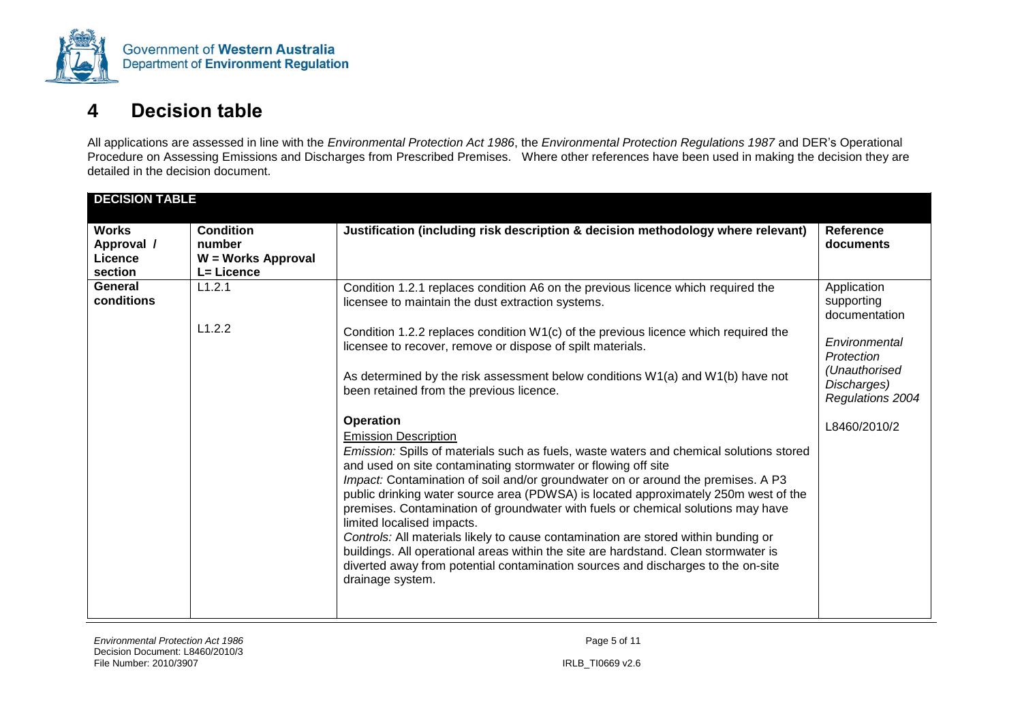

## **4 Decision table**

All applications are assessed in line with the *Environmental Protection Act 1986*, the *Environmental Protection Regulations 1987* and DER's Operational Procedure on Assessing Emissions and Discharges from Prescribed Premises. Where other references have been used in making the decision they are detailed in the decision document.

<span id="page-16-0"></span>

| <b>DECISION TABLE</b>                            |                                                                |                                                                                                                                                                                                                                                                                                                                                                                                                                                                                                                                                                                                                                                                                                                                                                                               |                                                  |
|--------------------------------------------------|----------------------------------------------------------------|-----------------------------------------------------------------------------------------------------------------------------------------------------------------------------------------------------------------------------------------------------------------------------------------------------------------------------------------------------------------------------------------------------------------------------------------------------------------------------------------------------------------------------------------------------------------------------------------------------------------------------------------------------------------------------------------------------------------------------------------------------------------------------------------------|--------------------------------------------------|
| <b>Works</b><br>Approval /<br>Licence<br>section | <b>Condition</b><br>number<br>W = Works Approval<br>L= Licence | Justification (including risk description & decision methodology where relevant)                                                                                                                                                                                                                                                                                                                                                                                                                                                                                                                                                                                                                                                                                                              | <b>Reference</b><br>documents                    |
| General<br>conditions                            | L1.2.1                                                         | Condition 1.2.1 replaces condition A6 on the previous licence which required the<br>licensee to maintain the dust extraction systems.                                                                                                                                                                                                                                                                                                                                                                                                                                                                                                                                                                                                                                                         | Application<br>supporting<br>documentation       |
|                                                  | L1.2.2                                                         | Condition 1.2.2 replaces condition W1(c) of the previous licence which required the<br>licensee to recover, remove or dispose of spilt materials.                                                                                                                                                                                                                                                                                                                                                                                                                                                                                                                                                                                                                                             | Environmental<br>Protection                      |
|                                                  |                                                                | As determined by the risk assessment below conditions W1(a) and W1(b) have not<br>been retained from the previous licence.                                                                                                                                                                                                                                                                                                                                                                                                                                                                                                                                                                                                                                                                    | (Unauthorised<br>Discharges)<br>Regulations 2004 |
|                                                  |                                                                | <b>Operation</b><br><b>Emission Description</b><br>Emission: Spills of materials such as fuels, waste waters and chemical solutions stored<br>and used on site contaminating stormwater or flowing off site<br>Impact: Contamination of soil and/or groundwater on or around the premises. A P3<br>public drinking water source area (PDWSA) is located approximately 250m west of the<br>premises. Contamination of groundwater with fuels or chemical solutions may have<br>limited localised impacts.<br>Controls: All materials likely to cause contamination are stored within bunding or<br>buildings. All operational areas within the site are hardstand. Clean stormwater is<br>diverted away from potential contamination sources and discharges to the on-site<br>drainage system. | L8460/2010/2                                     |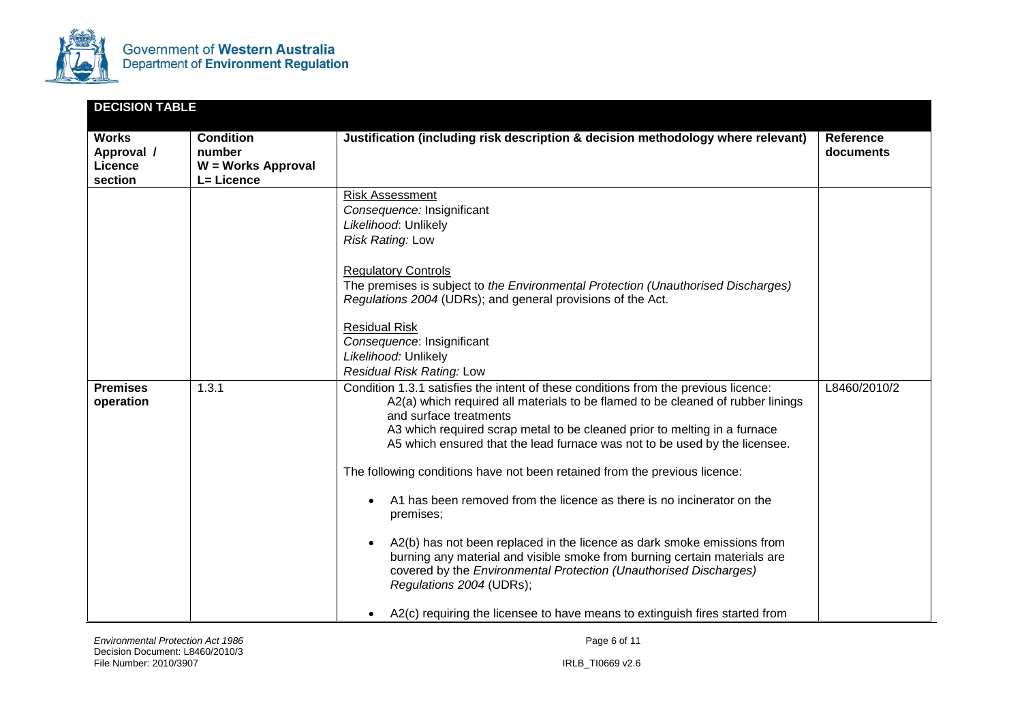

| <b>Works</b><br><b>Condition</b><br>Justification (including risk description & decision methodology where relevant)<br>Reference<br>number<br>Approval /<br>documents<br>Licence<br>W = Works Approval<br>section<br>L= Licence<br><b>Risk Assessment</b><br>Consequence: Insignificant<br>Likelihood: Unlikely<br>Risk Rating: Low<br><b>Regulatory Controls</b><br>The premises is subject to the Environmental Protection (Unauthorised Discharges)<br>Regulations 2004 (UDRs); and general provisions of the Act.<br><b>Residual Risk</b><br>Consequence: Insignificant<br>Likelihood: Unlikely<br>Residual Risk Rating: Low<br>1.3.1<br>Condition 1.3.1 satisfies the intent of these conditions from the previous licence:<br>L8460/2010/2<br><b>Premises</b><br>A2(a) which required all materials to be flamed to be cleaned of rubber linings<br>operation<br>and surface treatments<br>A3 which required scrap metal to be cleaned prior to melting in a furnace<br>A5 which ensured that the lead furnace was not to be used by the licensee.<br>The following conditions have not been retained from the previous licence:<br>A1 has been removed from the licence as there is no incinerator on the<br>premises;<br>A2(b) has not been replaced in the licence as dark smoke emissions from | <b>DECISION TABLE</b> |  |  |  |  |
|-----------------------------------------------------------------------------------------------------------------------------------------------------------------------------------------------------------------------------------------------------------------------------------------------------------------------------------------------------------------------------------------------------------------------------------------------------------------------------------------------------------------------------------------------------------------------------------------------------------------------------------------------------------------------------------------------------------------------------------------------------------------------------------------------------------------------------------------------------------------------------------------------------------------------------------------------------------------------------------------------------------------------------------------------------------------------------------------------------------------------------------------------------------------------------------------------------------------------------------------------------------------------------------------------------------|-----------------------|--|--|--|--|
|                                                                                                                                                                                                                                                                                                                                                                                                                                                                                                                                                                                                                                                                                                                                                                                                                                                                                                                                                                                                                                                                                                                                                                                                                                                                                                           |                       |  |  |  |  |
|                                                                                                                                                                                                                                                                                                                                                                                                                                                                                                                                                                                                                                                                                                                                                                                                                                                                                                                                                                                                                                                                                                                                                                                                                                                                                                           |                       |  |  |  |  |
|                                                                                                                                                                                                                                                                                                                                                                                                                                                                                                                                                                                                                                                                                                                                                                                                                                                                                                                                                                                                                                                                                                                                                                                                                                                                                                           |                       |  |  |  |  |
| burning any material and visible smoke from burning certain materials are<br>covered by the Environmental Protection (Unauthorised Discharges)<br>Regulations 2004 (UDRs);<br>A2(c) requiring the licensee to have means to extinguish fires started from                                                                                                                                                                                                                                                                                                                                                                                                                                                                                                                                                                                                                                                                                                                                                                                                                                                                                                                                                                                                                                                 |                       |  |  |  |  |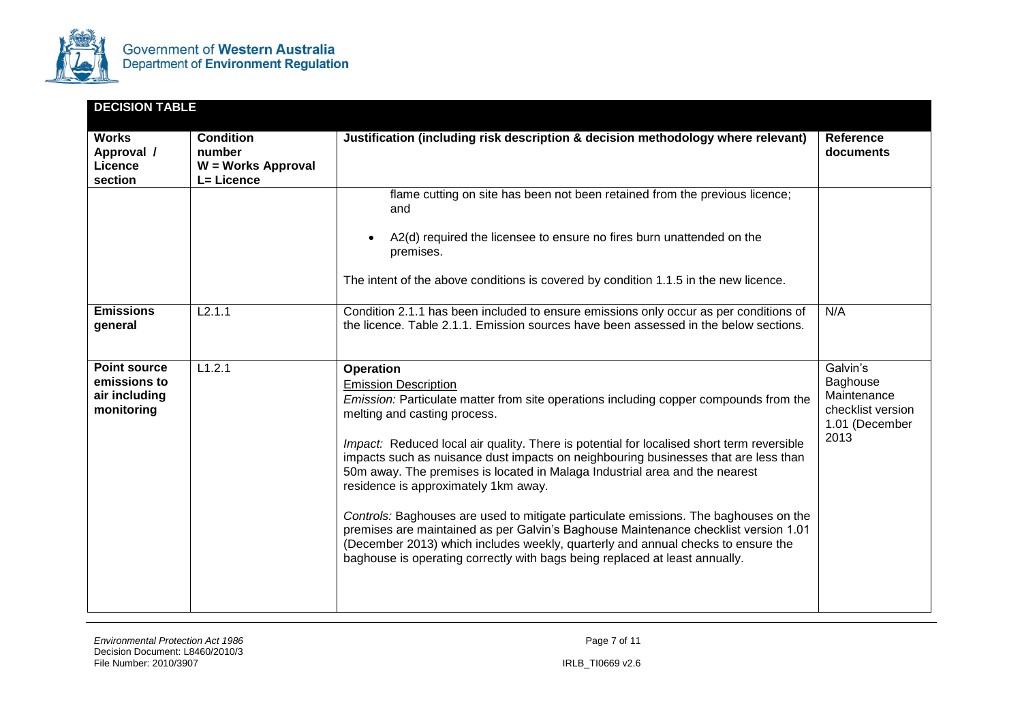

| <b>DECISION TABLE</b>                                              |                                                                |                                                                                                                                                                                                                                                                                                                                                                                                                                                                                                                                                                                                                                                                                                                                                                                                                                       |                                                                                    |
|--------------------------------------------------------------------|----------------------------------------------------------------|---------------------------------------------------------------------------------------------------------------------------------------------------------------------------------------------------------------------------------------------------------------------------------------------------------------------------------------------------------------------------------------------------------------------------------------------------------------------------------------------------------------------------------------------------------------------------------------------------------------------------------------------------------------------------------------------------------------------------------------------------------------------------------------------------------------------------------------|------------------------------------------------------------------------------------|
| <b>Works</b><br>Approval /<br>Licence<br>section                   | <b>Condition</b><br>number<br>W = Works Approval<br>L= Licence | Justification (including risk description & decision methodology where relevant)                                                                                                                                                                                                                                                                                                                                                                                                                                                                                                                                                                                                                                                                                                                                                      | <b>Reference</b><br>documents                                                      |
|                                                                    |                                                                | flame cutting on site has been not been retained from the previous licence;<br>and<br>A2(d) required the licensee to ensure no fires burn unattended on the<br>premises.<br>The intent of the above conditions is covered by condition 1.1.5 in the new licence.                                                                                                                                                                                                                                                                                                                                                                                                                                                                                                                                                                      |                                                                                    |
| <b>Emissions</b><br>general                                        | L2.1.1                                                         | Condition 2.1.1 has been included to ensure emissions only occur as per conditions of<br>the licence. Table 2.1.1. Emission sources have been assessed in the below sections.                                                                                                                                                                                                                                                                                                                                                                                                                                                                                                                                                                                                                                                         | N/A                                                                                |
| <b>Point source</b><br>emissions to<br>air including<br>monitoring | L1.2.1                                                         | <b>Operation</b><br><b>Emission Description</b><br>Emission: Particulate matter from site operations including copper compounds from the<br>melting and casting process.<br>Impact: Reduced local air quality. There is potential for localised short term reversible<br>impacts such as nuisance dust impacts on neighbouring businesses that are less than<br>50m away. The premises is located in Malaga Industrial area and the nearest<br>residence is approximately 1km away.<br>Controls: Baghouses are used to mitigate particulate emissions. The baghouses on the<br>premises are maintained as per Galvin's Baghouse Maintenance checklist version 1.01<br>(December 2013) which includes weekly, quarterly and annual checks to ensure the<br>baghouse is operating correctly with bags being replaced at least annually. | Galvin's<br>Baghouse<br>Maintenance<br>checklist version<br>1.01 (December<br>2013 |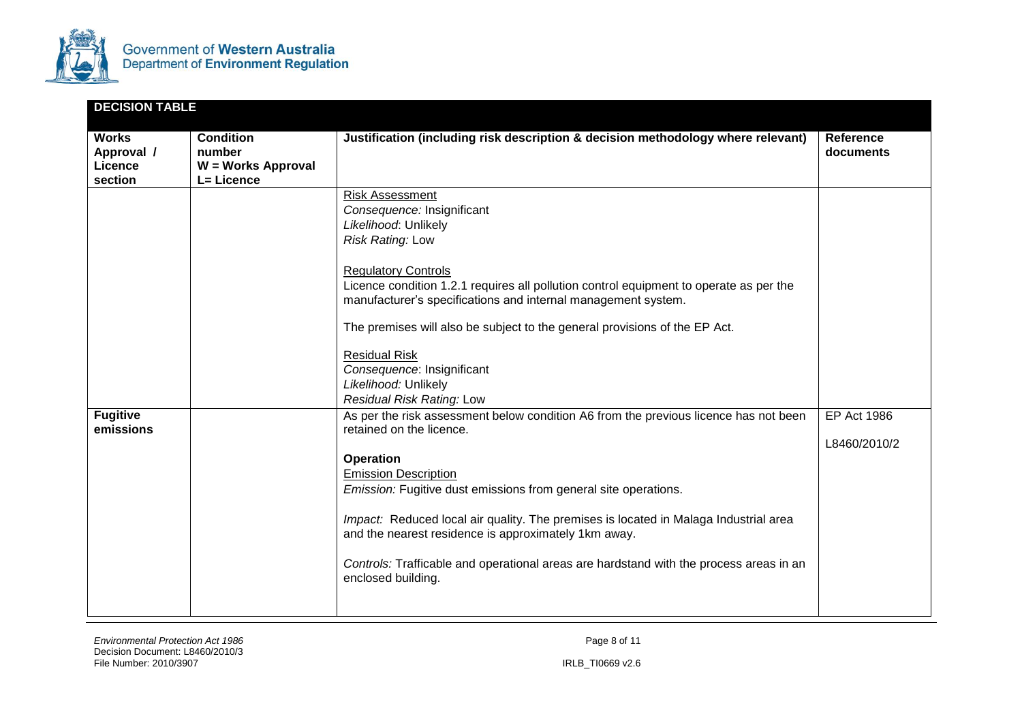

| <b>DECISION TABLE</b>                            |                                                                |                                                                                                                                                                                                                                                                                                                                                                                                                                                                                                                                                                                                                                                                                                                                                                                                                                                                              |                                    |
|--------------------------------------------------|----------------------------------------------------------------|------------------------------------------------------------------------------------------------------------------------------------------------------------------------------------------------------------------------------------------------------------------------------------------------------------------------------------------------------------------------------------------------------------------------------------------------------------------------------------------------------------------------------------------------------------------------------------------------------------------------------------------------------------------------------------------------------------------------------------------------------------------------------------------------------------------------------------------------------------------------------|------------------------------------|
| <b>Works</b><br>Approval /<br>Licence<br>section | <b>Condition</b><br>number<br>W = Works Approval<br>L= Licence | Justification (including risk description & decision methodology where relevant)                                                                                                                                                                                                                                                                                                                                                                                                                                                                                                                                                                                                                                                                                                                                                                                             | Reference<br>documents             |
| <b>Fugitive</b><br>emissions                     |                                                                | <b>Risk Assessment</b><br>Consequence: Insignificant<br>Likelihood: Unlikely<br>Risk Rating: Low<br><b>Regulatory Controls</b><br>Licence condition 1.2.1 requires all pollution control equipment to operate as per the<br>manufacturer's specifications and internal management system.<br>The premises will also be subject to the general provisions of the EP Act.<br><b>Residual Risk</b><br>Consequence: Insignificant<br>Likelihood: Unlikely<br>Residual Risk Rating: Low<br>As per the risk assessment below condition A6 from the previous licence has not been<br>retained on the licence.<br><b>Operation</b><br><b>Emission Description</b><br>Emission: Fugitive dust emissions from general site operations.<br>Impact: Reduced local air quality. The premises is located in Malaga Industrial area<br>and the nearest residence is approximately 1km away. | <b>EP Act 1986</b><br>L8460/2010/2 |
|                                                  |                                                                | Controls: Trafficable and operational areas are hardstand with the process areas in an<br>enclosed building.                                                                                                                                                                                                                                                                                                                                                                                                                                                                                                                                                                                                                                                                                                                                                                 |                                    |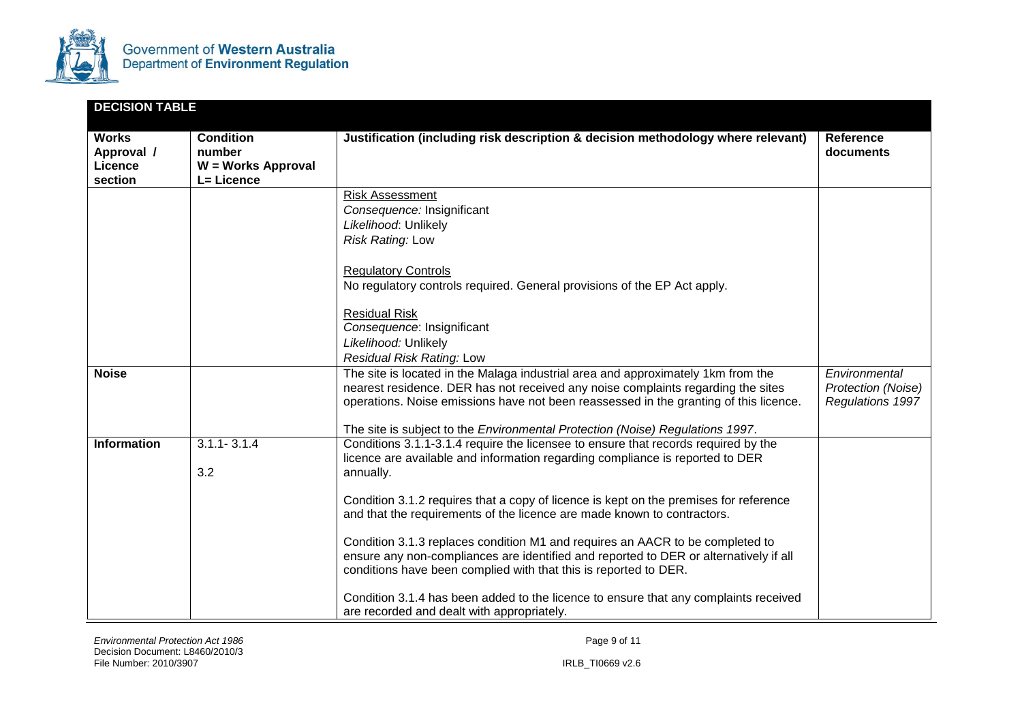

| <b>DECISION TABLE</b>                            |                                                                |                                                                                                                                                                                                                                                                                                                                                                                                                                                                                                                                                                                                                 |                                                         |
|--------------------------------------------------|----------------------------------------------------------------|-----------------------------------------------------------------------------------------------------------------------------------------------------------------------------------------------------------------------------------------------------------------------------------------------------------------------------------------------------------------------------------------------------------------------------------------------------------------------------------------------------------------------------------------------------------------------------------------------------------------|---------------------------------------------------------|
| <b>Works</b><br>Approval /<br>Licence<br>section | <b>Condition</b><br>number<br>W = Works Approval<br>L= Licence | Justification (including risk description & decision methodology where relevant)                                                                                                                                                                                                                                                                                                                                                                                                                                                                                                                                | <b>Reference</b><br>documents                           |
|                                                  |                                                                | <b>Risk Assessment</b><br>Consequence: Insignificant<br>Likelihood: Unlikely<br>Risk Rating: Low                                                                                                                                                                                                                                                                                                                                                                                                                                                                                                                |                                                         |
|                                                  |                                                                | <b>Regulatory Controls</b><br>No regulatory controls required. General provisions of the EP Act apply.                                                                                                                                                                                                                                                                                                                                                                                                                                                                                                          |                                                         |
|                                                  |                                                                | <b>Residual Risk</b><br>Consequence: Insignificant<br>Likelihood: Unlikely<br><b>Residual Risk Rating: Low</b>                                                                                                                                                                                                                                                                                                                                                                                                                                                                                                  |                                                         |
| <b>Noise</b>                                     |                                                                | The site is located in the Malaga industrial area and approximately 1km from the<br>nearest residence. DER has not received any noise complaints regarding the sites<br>operations. Noise emissions have not been reassessed in the granting of this licence.                                                                                                                                                                                                                                                                                                                                                   | Environmental<br>Protection (Noise)<br>Regulations 1997 |
| <b>Information</b>                               | $3.1.1 - 3.1.4$<br>3.2                                         | The site is subject to the Environmental Protection (Noise) Regulations 1997.<br>Conditions 3.1.1-3.1.4 require the licensee to ensure that records required by the<br>licence are available and information regarding compliance is reported to DER<br>annually.<br>Condition 3.1.2 requires that a copy of licence is kept on the premises for reference<br>and that the requirements of the licence are made known to contractors.<br>Condition 3.1.3 replaces condition M1 and requires an AACR to be completed to<br>ensure any non-compliances are identified and reported to DER or alternatively if all |                                                         |
|                                                  |                                                                | conditions have been complied with that this is reported to DER.<br>Condition 3.1.4 has been added to the licence to ensure that any complaints received<br>are recorded and dealt with appropriately.                                                                                                                                                                                                                                                                                                                                                                                                          |                                                         |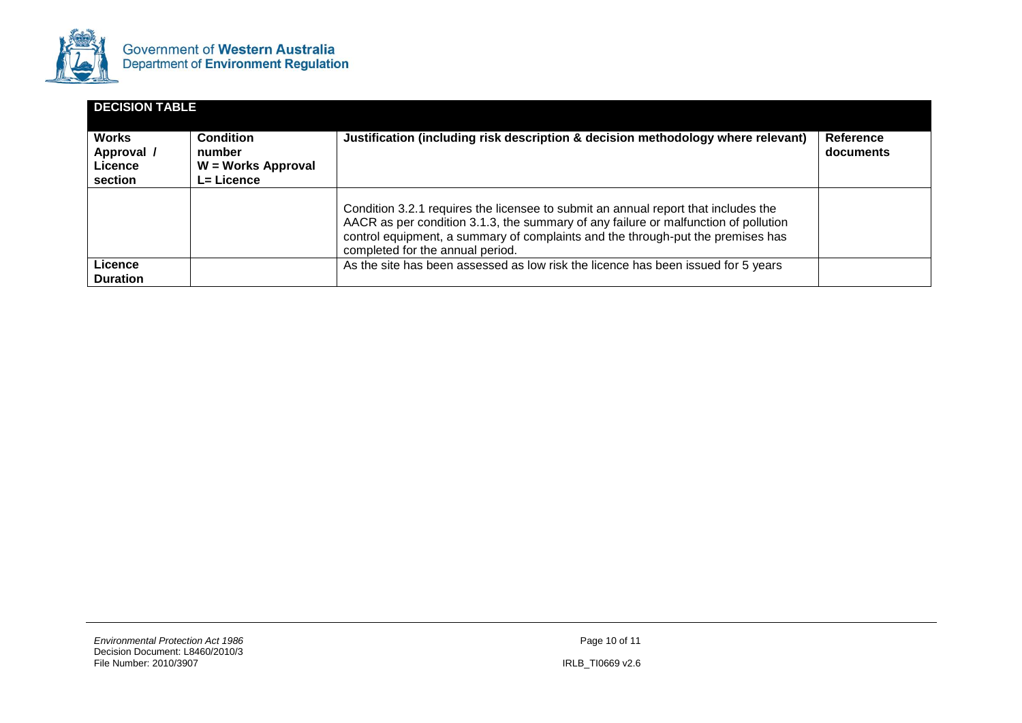

| <b>DECISION TABLE</b>                                   |                                                                |                                                                                                                                                                                                                                                                                                  |                               |
|---------------------------------------------------------|----------------------------------------------------------------|--------------------------------------------------------------------------------------------------------------------------------------------------------------------------------------------------------------------------------------------------------------------------------------------------|-------------------------------|
| <b>Works</b><br>Approval /<br><b>Licence</b><br>section | <b>Condition</b><br>number<br>W = Works Approval<br>L= Licence | Justification (including risk description & decision methodology where relevant)                                                                                                                                                                                                                 | <b>Reference</b><br>documents |
|                                                         |                                                                | Condition 3.2.1 requires the licensee to submit an annual report that includes the<br>AACR as per condition 3.1.3, the summary of any failure or malfunction of pollution<br>control equipment, a summary of complaints and the through-put the premises has<br>completed for the annual period. |                               |
| Licence<br><b>Duration</b>                              |                                                                | As the site has been assessed as low risk the licence has been issued for 5 years                                                                                                                                                                                                                |                               |